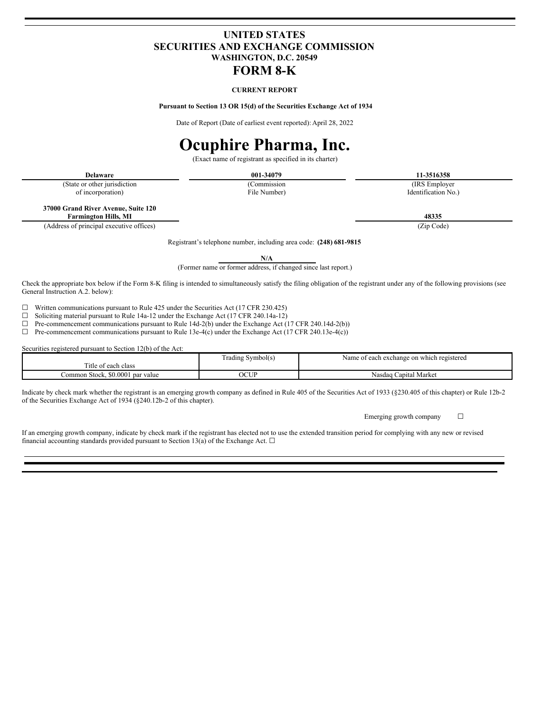# **UNITED STATES SECURITIES AND EXCHANGE COMMISSION WASHINGTON, D.C. 20549 FORM 8-K**

#### **CURRENT REPORT**

**Pursuant to Section 13 OR 15(d) of the Securities Exchange Act of 1934**

Date of Report (Date of earliest event reported): April 28, 2022

# **Ocuphire Pharma, Inc.**

(Exact name of registrant as specified in its charter)

(State or other jurisdiction of incorporation)

(Commission File Number)

**Delaware 001-34079 11-3516358** (IRS Employer

**37000 Grand River Avenue, Suite 120 Farmington Hills, MI 48335**

(Address of principal executive offices) (Zip Code)

Identification No.)

Registrant's telephone number, including area code: **(248) 681-9815**

**N/A**

(Former name or former address, if changed since last report.)

Check the appropriate box below if the Form 8-K filing is intended to simultaneously satisfy the filing obligation of the registrant under any of the following provisions (see General Instruction A.2. below):

 $\Box$  Written communications pursuant to Rule 425 under the Securities Act (17 CFR 230.425)

☐ Soliciting material pursuant to Rule 14a-12 under the Exchange Act (17 CFR 240.14a-12)

 $\Box$  Pre-commencement communications pursuant to Rule 14d-2(b) under the Exchange Act (17 CFR 240.14d-2(b))

☐ Pre-commencement communications pursuant to Rule 13e-4(c) under the Exchange Act (17 CFR 240.13e-4(c))

Securities registered pursuant to Section 12(b) of the Act:

|                                            | $\sim$<br>frading Symbol(s) | the of each exchange on which registered<br>Name |
|--------------------------------------------|-----------------------------|--------------------------------------------------|
| Title<br>e of each class                   |                             |                                                  |
| \$0,0001<br>∵ommon Stock. ⊥<br>l par value | OCUP                        | .<br>Nasdag Capital Market                       |

Indicate by check mark whether the registrant is an emerging growth company as defined in Rule 405 of the Securities Act of 1933 (§230.405 of this chapter) or Rule 12b-2 of the Securities Exchange Act of 1934 (§240.12b-2 of this chapter).

Emerging growth company  $\Box$ 

If an emerging growth company, indicate by check mark if the registrant has elected not to use the extended transition period for complying with any new or revised financial accounting standards provided pursuant to Section 13(a) of the Exchange Act.  $\Box$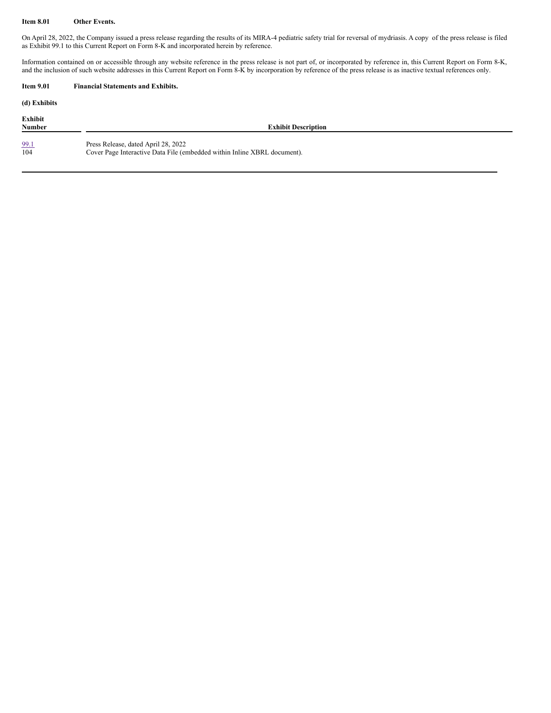#### **Item 8.01 Other Events.**

On April 28, 2022, the Company issued a press release regarding the results of its MIRA-4 pediatric safety trial for reversal of mydriasis. A copy of the press release is filed as Exhibit 99.1 to this Current Report on Form 8-K and incorporated herein by reference.

Information contained on or accessible through any website reference in the press release is not part of, or incorporated by reference in, this Current Report on Form 8-K, and the inclusion of such website addresses in this Current Report on Form 8-K by incorporation by reference of the press release is as inactive textual references only.

## **Item 9.01 Financial Statements and Exhibits.**

# **(d) Exhibits**

| Exhibit<br><b>Number</b> | <b>Exhibit Description</b>                                               |
|--------------------------|--------------------------------------------------------------------------|
| 99.1                     | Press Release, dated April 28, 2022                                      |
| 104                      | Cover Page Interactive Data File (embedded within Inline XBRL document). |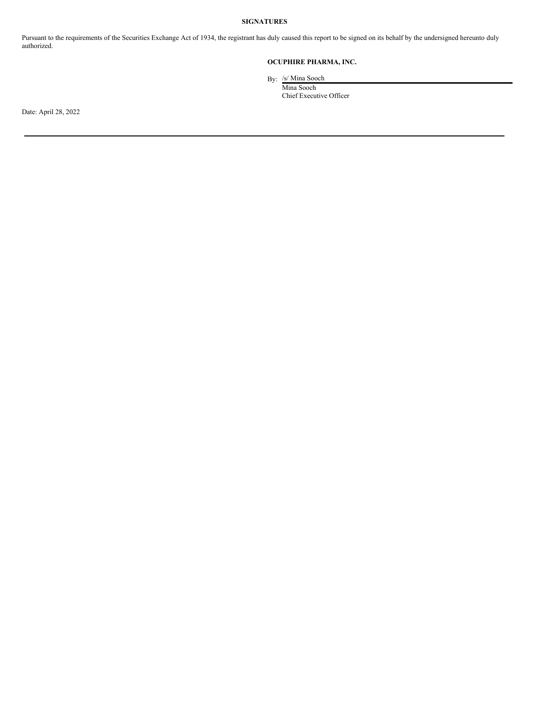## **SIGNATURES**

Pursuant to the requirements of the Securities Exchange Act of 1934, the registrant has duly caused this report to be signed on its behalf by the undersigned hereunto duly authorized.

## **OCUPHIRE PHARMA, INC.**

By: /s/ Mina Sooch

Mina Sooch Chief Executive Officer

Date: April 28, 2022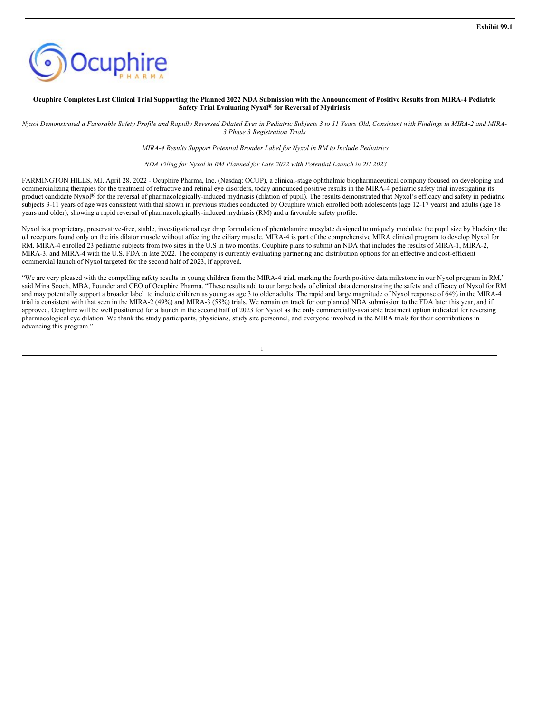

#### Ocuphire Completes Last Clinical Trial Supporting the Planned 2022 NDA Submission with the Announcement of Positive Results from MIRA-4 Pediatric **Safety Trial Evaluating Nyxol® for Reversal of Mydriasis**

Nyxol Demonstrated a Favorable Safety Profile and Rapidly Reversed Dilated Eyes in Pediatric Subjects 3 to 11 Years Old, Consistent with Findings in MIRA-2 and MIRA-*3 Phase 3 Registration Trials*

*MIRA-4 Results Support Potential Broader Label for Nyxol in RM to Include Pediatrics*

*NDA Filing for Nyxol in RM Planned for Late 2022 with Potential Launch in 2H 2023*

FARMINGTON HILLS, MI, April 28, 2022 - Ocuphire Pharma, Inc. (Nasdaq: OCUP), a clinical-stage ophthalmic biopharmaceutical company focused on developing and commercializing therapies for the treatment of refractive and retinal eye disorders, today announced positive results in the MIRA-4 pediatric safety trial investigating its product candidate Nyxol® for the reversal of pharmacologically-induced mydriasis (dilation of pupil). The results demonstrated that Nyxol's efficacy and safety in pediatric subjects 3-11 years of age was consistent with that shown in previous studies conducted by Ocuphire which enrolled both adolescents (age 12-17 years) and adults (age 18 years and older), showing a rapid reversal of pharmacologically-induced mydriasis (RM) and a favorable safety profile.

Nyxol is a proprietary, preservative-free, stable, investigational eye drop formulation of phentolamine mesylate designed to uniquely modulate the pupil size by blocking the α1 receptors found only on the iris dilator muscle without affecting the ciliary muscle. MIRA-4 is part of the comprehensive MIRA clinical program to develop Nyxol for RM. MIRA-4 enrolled 23 pediatric subjects from two sites in the U.S in two months. Ocuphire plans to submit an NDA that includes the results of MIRA-1, MIRA-2, MIRA-3, and MIRA-4 with the U.S. FDA in late 2022. The company is currently evaluating partnering and distribution options for an effective and cost-efficient commercial launch of Nyxol targeted for the second half of 2023, if approved.

"We are very pleased with the compelling safety results in young children from the MIRA-4 trial, marking the fourth positive data milestone in our Nyxol program in RM," said Mina Sooch, MBA, Founder and CEO of Ocuphire Pharma. "These results add to our large body of clinical data demonstrating the safety and efficacy of Nyxol for RM and may potentially support a broader label to include children as young as age 3 to older adults. The rapid and large magnitude of Nyxol response of 64% in the MIRA-4 trial is consistent with that seen in the MIRA-2 (49%) and MIRA-3 (58%) trials. We remain on track for our planned NDA submission to the FDA later this year, and if approved, Ocuphire will be well positioned for a launch in the second half of 2023 for Nyxol as the only commercially-available treatment option indicated for reversing pharmacological eye dilation. We thank the study participants, physicians, study site personnel, and everyone involved in the MIRA trials for their contributions in advancing this program."

1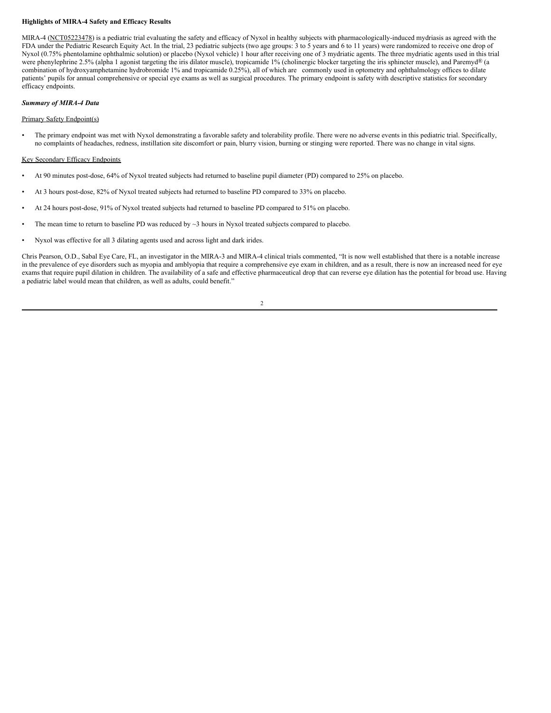#### **Highlights of MIRA-4 Safety and Efficacy Results**

MIRA-4 (NCT05223478) is a pediatric trial evaluating the safety and efficacy of Nyxol in healthy subjects with pharmacologically-induced mydriasis as agreed with the FDA under the Pediatric Research Equity Act. In the trial, 23 pediatric subjects (two age groups: 3 to 5 years and 6 to 11 years) were randomized to receive one drop of Nyxol (0.75% phentolamine ophthalmic solution) or placebo (Nyxol vehicle) 1 hour after receiving one of 3 mydriatic agents. The three mydriatic agents used in this trial were phenylephrine 2.5% (alpha 1 agonist targeting the iris dilator muscle), tropicamide 1% (cholinergic blocker targeting the iris sphincter muscle), and Paremyd® (a combination of hydroxyamphetamine hydrobromide 1% and tropicamide 0.25%), all of which are commonly used in optometry and ophthalmology offices to dilate patients' pupils for annual comprehensive or special eye exams as well as surgical procedures. The primary endpoint is safety with descriptive statistics for secondary efficacy endpoints.

### *Summary of MIRA-4 Data*

#### Primary Safety Endpoint(s)

• The primary endpoint was met with Nyxol demonstrating a favorable safety and tolerability profile. There were no adverse events in this pediatric trial. Specifically, no complaints of headaches, redness, instillation site discomfort or pain, blurry vision, burning or stinging were reported. There was no change in vital signs.

#### Key Secondary Efficacy Endpoints

- At 90 minutes post-dose, 64% of Nyxol treated subjects had returned to baseline pupil diameter (PD) compared to 25% on placebo.
- At 3 hours post-dose, 82% of Nyxol treated subjects had returned to baseline PD compared to 33% on placebo.
- At 24 hours post-dose, 91% of Nyxol treated subjects had returned to baseline PD compared to 51% on placebo.
- The mean time to return to baseline PD was reduced by  $\sim$ 3 hours in Nyxol treated subjects compared to placebo.
- Nyxol was effective for all 3 dilating agents used and across light and dark irides.

Chris Pearson, O.D., Sabal Eye Care, FL, an investigator in the MIRA-3 and MIRA-4 clinical trials commented, "It is now well established that there is a notable increase in the prevalence of eye disorders such as myopia and amblyopia that require a comprehensive eye exam in children, and as a result, there is now an increased need for eye exams that require pupil dilation in children. The availability of a safe and effective pharmaceutical drop that can reverse eye dilation has the potential for broad use. Having a pediatric label would mean that children, as well as adults, could benefit."

2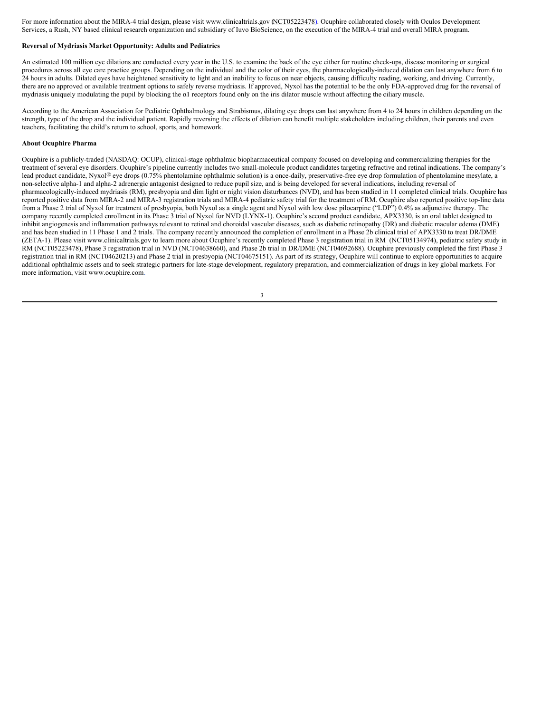<span id="page-5-0"></span>For more information about the MIRA-4 trial design, please visit www.clinicaltrials.gov (NCT05223478). Ocuphire collaborated closely with Oculos Development Services, a Rush, NY based clinical research organization and subsidiary of Iuvo BioScience, on the execution of the MIRA-4 trial and overall MIRA program.

#### **Reversal of Mydriasis Market Opportunity: Adults and Pediatrics**

An estimated 100 million eye dilations are conducted every year in the U.S. to examine the back of the eye either for routine check-ups, disease monitoring or surgical procedures across all eye care practice groups. Depending on the individual and the color of their eyes, the pharmacologically-induced dilation can last anywhere from 6 to 24 hours in adults. Dilated eyes have heightened sensitivity to light and an inability to focus on near objects, causing difficulty reading, working, and driving. Currently, there are no approved or available treatment options to safely reverse mydriasis. If approved, Nyxol has the potential to be the only FDA-approved drug for the reversal of mydriasis uniquely modulating the pupil by blocking the α1 receptors found only on the iris dilator muscle without affecting the ciliary muscle.

According to the American Association for Pediatric Ophthalmology and Strabismus, dilating eye drops can last anywhere from 4 to 24 hours in children depending on the strength, type of the drop and the individual patient. Rapidly reversing the effects of dilation can benefit multiple stakeholders including children, their parents and even teachers, facilitating the child's return to school, sports, and homework.

#### **About Ocuphire Pharma**

Ocuphire is a publicly-traded (NASDAQ: OCUP), clinical-stage ophthalmic biopharmaceutical company focused on developing and commercializing therapies for the treatment of several eye disorders. Ocuphire's pipeline currently includes two small-molecule product candidates targeting refractive and retinal indications. The company's lead product candidate, Nyxol® eye drops (0.75% phentolamine ophthalmic solution) is a once-daily, preservative-free eye drop formulation of phentolamine mesylate, a non-selective alpha-1 and alpha-2 adrenergic antagonist designed to reduce pupil size, and is being developed for several indications, including reversal of pharmacologically-induced mydriasis (RM), presbyopia and dim light or night vision disturbances (NVD), and has been studied in 11 completed clinical trials. Ocuphire has reported positive data from MIRA-2 and MIRA-3 registration trials and MIRA-4 pediatric safety trial for the treatment of RM. Ocuphire also reported positive top-line data from a Phase 2 trial of Nyxol for treatment of presbyopia, both Nyxol as a single agent and Nyxol with low dose pilocarpine ("LDP") 0.4% as adjunctive therapy. The company recently completed enrollment in its Phase 3 trial of Nyxol for NVD (LYNX-1). Ocuphire's second product candidate, APX3330, is an oral tablet designed to inhibit angiogenesis and inflammation pathways relevant to retinal and choroidal vascular diseases, such as diabetic retinopathy (DR) and diabetic macular edema (DME) and has been studied in 11 Phase 1 and 2 trials. The company recently announced the completion of enrollment in a Phase 2b clinical trial of APX3330 to treat DR/DME (ZETA-1). Please visit www.clinicaltrials.gov to learn more about Ocuphire's recently completed Phase 3 registration trial in RM (NCT05134974), pediatric safety study in RM (NCT05223478), Phase 3 registration trial in NVD (NCT04638660), and Phase 2b trial in DR/DME (NCT04692688). Ocuphire previously completed the first Phase 3 registration trial in RM (NCT04620213) and Phase 2 trial in presbyopia (NCT04675151). As part of its strategy, Ocuphire will continue to explore opportunities to acquire additional ophthalmic assets and to seek strategic partners for late-stage development, regulatory preparation, and commercialization of drugs in key global markets. For more information, visit www.ocuphire.com.

| ł<br>I<br>×<br>۰. |
|-------------------|
|                   |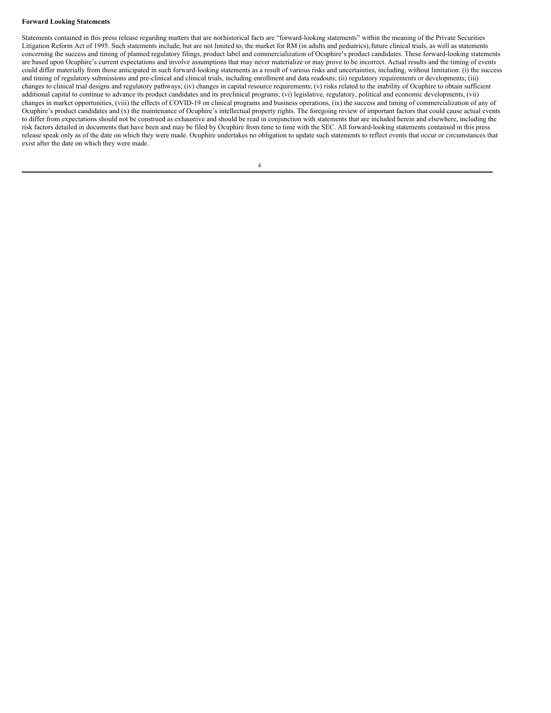#### **Forward Looking Statements**

Statements contained in this press release regarding matters that are nothistorical facts are "forward-looking statements" within the meaning of the Private Securities Litigation Reform Act of 1995. Such statements include, but are not limited to, the market for RM (in adults and pediatrics), future clinical trials, as well as statements concerning the success and timing of planned regulatory filings, product label and commercialization of Ocuphire's product candidates. These forward-looking statements are based upon Ocuphire's current expectations and involve assumptions that may never materialize or may prove to be incorrect. Actual results and the timing of events could differ materially from those anticipated in such forward-looking statements as a result of various risks and uncertainties, including, without limitation: (i) the success and timing of regulatory submissions and pre-clinical and clinical trials, including enrollment and data readouts; (ii) regulatory requirements or developments; (iii) changes to clinical trial designs and regulatory pathways; (iv) changes in capital resource requirements; (v) risks related to the inability of Ocuphire to obtain sufficient additional capital to continue to advance its product candidates and its preclinical programs; (vi) legislative, regulatory, political and economic developments, (vii) changes in market opportunities, (viii) the effects of COVID-19 on clinical programs and business operations, (ix) the success and timing of commercialization of any of Ocuphire's product candidates and (x) the maintenance of Ocuphire's intellectual property rights. The foregoing review of important factors that could cause actual events to differ from expectations should not be construed as exhaustive and should be read in conjunction with statements that are included herein and elsewhere, including the risk factors detailed in documents that have been and may be filed by Ocuphire from time to time with the SEC. All forward-looking statements contained in this press release speak only as of the date on which they were made. Ocuphire undertakes no obligation to update such statements to reflect events that occur or circumstances that exist after the date on which they were made.